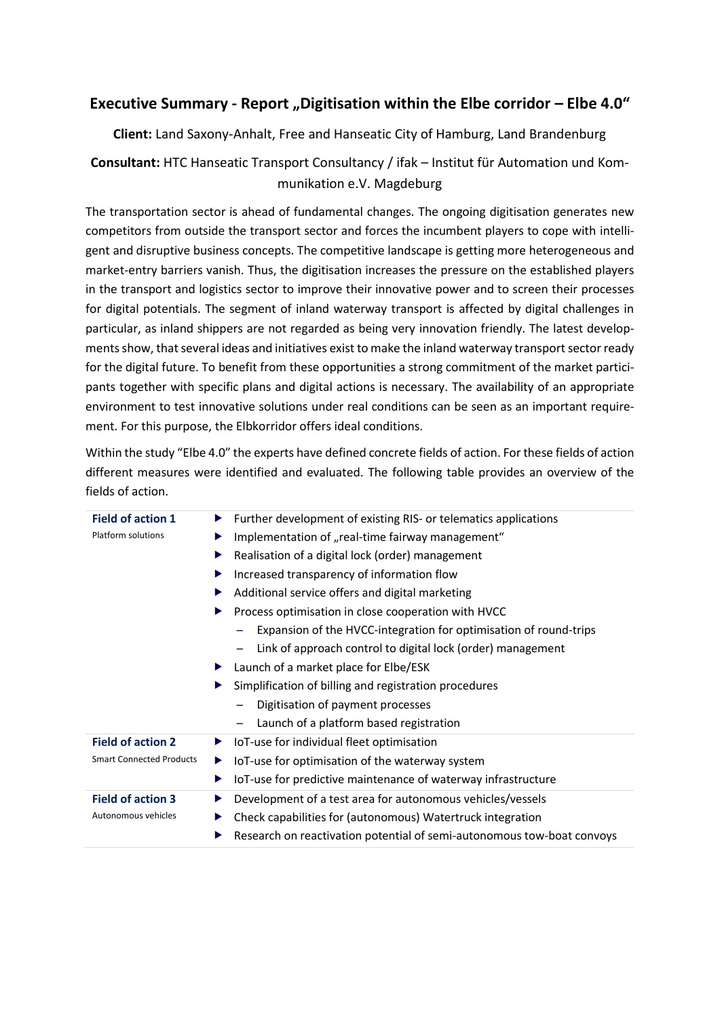# **Executive Summary - Report "Digitisation within the Elbe corridor – Elbe 4.0"**

**Client:** Land Saxony-Anhalt, Free and Hanseatic City of Hamburg, Land Brandenburg

## **Consultant:** HTC Hanseatic Transport Consultancy / ifak – Institut für Automation und Kommunikation e.V. Magdeburg

 The transportation sector is ahead of fundamental changes. The ongoing digitisation generates new competitors from outside the transport sector and forces the incumbent players to cope with intelli- gent and disruptive business concepts. The competitive landscape is getting more heterogeneous and market-entry barriers vanish. Thus, the digitisation increases the pressure on the established players in the transport and logistics sector to improve their innovative power and to screen their processes for digital potentials. The segment of inland waterway transport is affected by digital challenges in particular, as inland shippers are not regarded as being very innovation friendly. The latest develop- ments show, that several ideas and initiatives exist to make the inland waterway transport sector ready for the digital future. To benefit from these opportunities a strong commitment of the market partici- pants together with specific plans and digital actions is necessary. The availability of an appropriate environment to test innovative solutions under real conditions can be seen as an important requirement. For this purpose, the Elbkorridor offers ideal conditions.

 Within the study "Elbe 4.0" the experts have defined concrete fields of action. For these fields of action different measures were identified and evaluated. The following table provides an overview of the fields of action.

| <b>Field of action 1</b>        | Further development of existing RIS- or telematics applications<br>▶   |
|---------------------------------|------------------------------------------------------------------------|
| Platform solutions              | Implementation of "real-time fairway management"<br>▶                  |
|                                 | Realisation of a digital lock (order) management<br>▶                  |
|                                 | Increased transparency of information flow<br>▶                        |
|                                 | Additional service offers and digital marketing                        |
|                                 | Process optimisation in close cooperation with HVCC                    |
|                                 | Expansion of the HVCC-integration for optimisation of round-trips      |
|                                 | Link of approach control to digital lock (order) management            |
|                                 | Launch of a market place for Elbe/ESK<br>▶                             |
|                                 | Simplification of billing and registration procedures<br>▶             |
|                                 | Digitisation of payment processes                                      |
|                                 | Launch of a platform based registration                                |
| <b>Field of action 2</b>        | IoT-use for individual fleet optimisation<br>▶                         |
| <b>Smart Connected Products</b> | IoT-use for optimisation of the waterway system<br>▶                   |
|                                 | IoT-use for predictive maintenance of waterway infrastructure<br>▶     |
| <b>Field of action 3</b>        | Development of a test area for autonomous vehicles/vessels<br>▶        |
| Autonomous vehicles             | Check capabilities for (autonomous) Watertruck integration<br>▶        |
|                                 | Research on reactivation potential of semi-autonomous tow-boat convoys |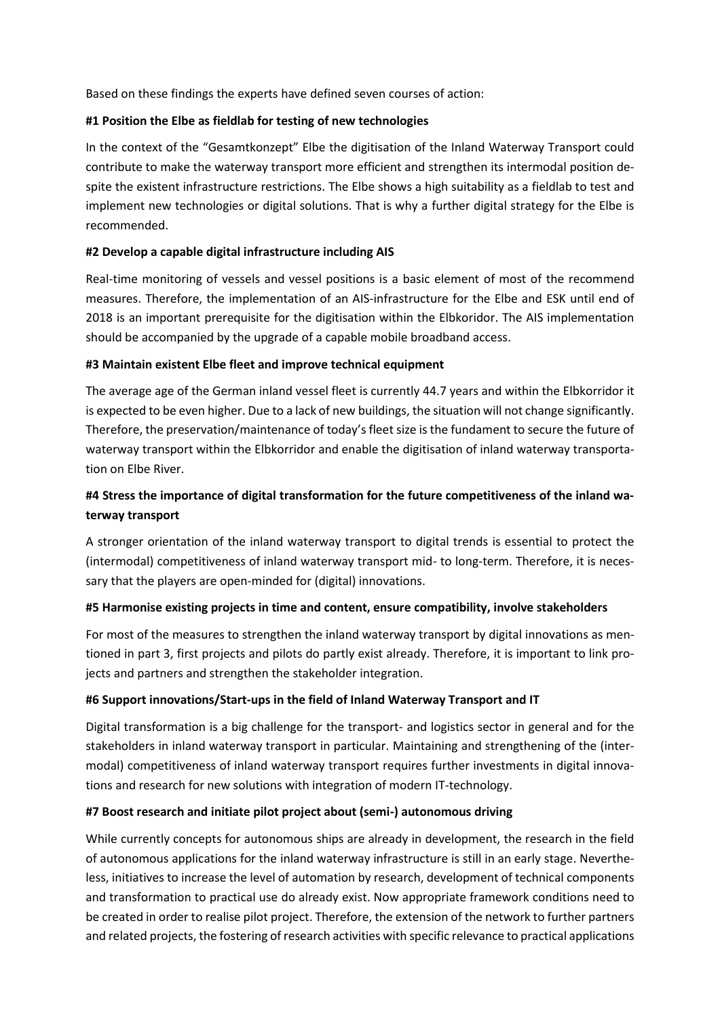Based on these findings the experts have defined seven courses of action:

#### **#1 Position the Elbe as fieldlab for testing of new technologies**

 In the context of the "Gesamtkonzept" Elbe the digitisation of the Inland Waterway Transport could contribute to make the waterway transport more efficient and strengthen its intermodal position de- spite the existent infrastructure restrictions. The Elbe shows a high suitability as a fieldlab to test and implement new technologies or digital solutions. That is why a further digital strategy for the Elbe is recommended.

#### **#2 Develop a capable digital infrastructure including AIS**

 Real-time monitoring of vessels and vessel positions is a basic element of most of the recommend measures. Therefore, the implementation of an AIS-infrastructure for the Elbe and ESK until end of 2018 is an important prerequisite for the digitisation within the Elbkoridor. The AIS implementation should be accompanied by the upgrade of a capable mobile broadband access.

#### **#3 Maintain existent Elbe fleet and improve technical equipment**

 is expected to be even higher. Due to a lack of new buildings, the situation will not change significantly. Therefore, the preservation/maintenance of today's fleet size is the fundament to secure the future of waterway transport within the Elbkorridor and enable the digitisation of inland waterway transporta-The average age of the German inland vessel fleet is currently 44.7 years and within the Elbkorridor it tion on Elbe River.

### **#4 Stress the importance of digital transformation for the future competitiveness of the inland waterway transport**

 A stronger orientation of the inland waterway transport to digital trends is essential to protect the (intermodal) competitiveness of inland waterway transport mid- to long-term. Therefore, it is neces-sary that the players are open-minded for (digital) innovations.

#### **#5 Harmonise existing projects in time and content, ensure compatibility, involve stakeholders**

 For most of the measures to strengthen the inland waterway transport by digital innovations as men- tioned in part 3, first projects and pilots do partly exist already. Therefore, it is important to link projects and partners and strengthen the stakeholder integration.

#### **#6 Support innovations/Start-ups in the field of Inland Waterway Transport and IT**

 Digital transformation is a big challenge for the transport- and logistics sector in general and for the stakeholders in inland waterway transport in particular. Maintaining and strengthening of the (inter- modal) competitiveness of inland waterway transport requires further investments in digital innovations and research for new solutions with integration of modern IT-technology.

#### **#7 Boost research and initiate pilot project about (semi-) autonomous driving**

 While currently concepts for autonomous ships are already in development, the research in the field of autonomous applications for the inland waterway infrastructure is still in an early stage. Neverthe- less, initiatives to increase the level of automation by research, development of technical components and transformation to practical use do already exist. Now appropriate framework conditions need to be created in order to realise pilot project. Therefore, the extension of the network to further partners and related projects, the fostering of research activities with specific relevance to practical applications